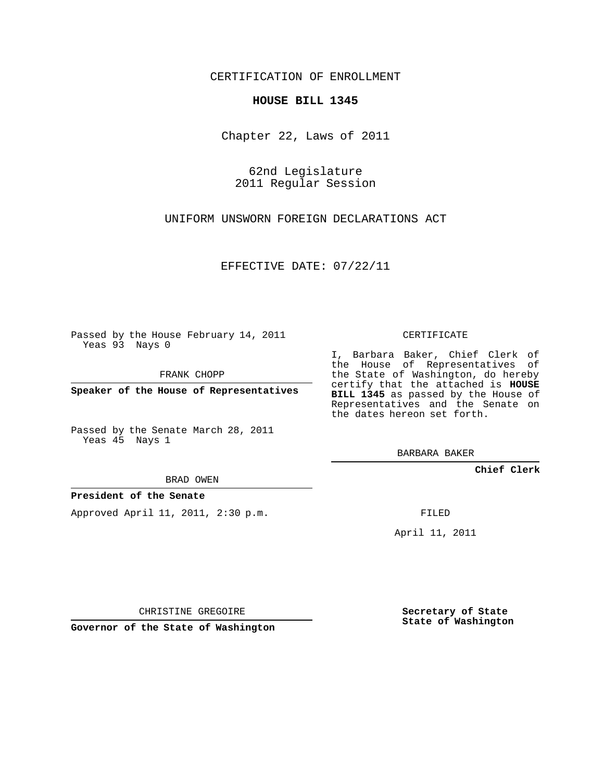CERTIFICATION OF ENROLLMENT

## **HOUSE BILL 1345**

Chapter 22, Laws of 2011

62nd Legislature 2011 Regular Session

UNIFORM UNSWORN FOREIGN DECLARATIONS ACT

EFFECTIVE DATE: 07/22/11

Passed by the House February 14, 2011 Yeas 93 Nays 0

FRANK CHOPP

**Speaker of the House of Representatives**

Passed by the Senate March 28, 2011 Yeas 45 Nays 1

the House of Representatives of the State of Washington, do hereby certify that the attached is **HOUSE BILL 1345** as passed by the House of Representatives and the Senate on the dates hereon set forth.

CERTIFICATE

I, Barbara Baker, Chief Clerk of

BARBARA BAKER

**Chief Clerk**

BRAD OWEN

## **President of the Senate**

Approved April 11, 2011, 2:30 p.m.

FILED

April 11, 2011

CHRISTINE GREGOIRE

**Governor of the State of Washington**

**Secretary of State State of Washington**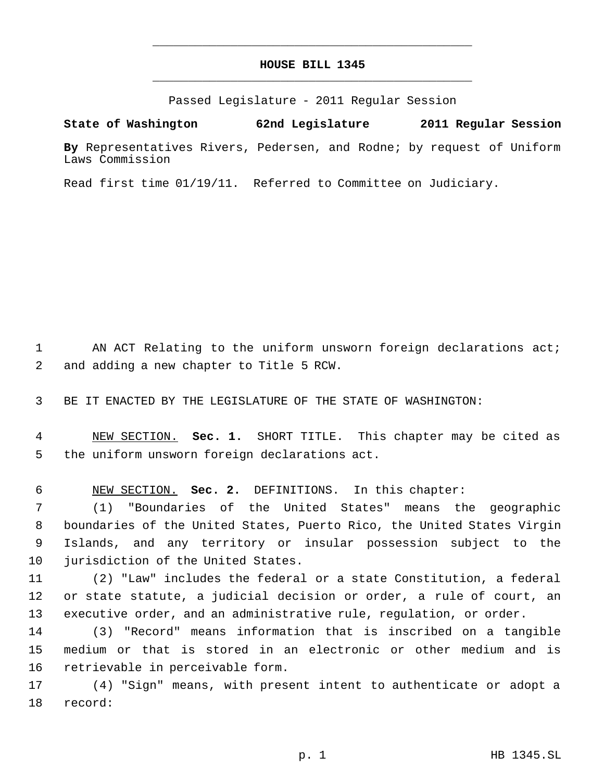## **HOUSE BILL 1345** \_\_\_\_\_\_\_\_\_\_\_\_\_\_\_\_\_\_\_\_\_\_\_\_\_\_\_\_\_\_\_\_\_\_\_\_\_\_\_\_\_\_\_\_\_

\_\_\_\_\_\_\_\_\_\_\_\_\_\_\_\_\_\_\_\_\_\_\_\_\_\_\_\_\_\_\_\_\_\_\_\_\_\_\_\_\_\_\_\_\_

Passed Legislature - 2011 Regular Session

**State of Washington 62nd Legislature 2011 Regular Session By** Representatives Rivers, Pedersen, and Rodne; by request of Uniform

Laws Commission

Read first time 01/19/11. Referred to Committee on Judiciary.

1 AN ACT Relating to the uniform unsworn foreign declarations act; and adding a new chapter to Title 5 RCW.

BE IT ENACTED BY THE LEGISLATURE OF THE STATE OF WASHINGTON:

 NEW SECTION. **Sec. 1.** SHORT TITLE. This chapter may be cited as the uniform unsworn foreign declarations act.

NEW SECTION. **Sec. 2.** DEFINITIONS. In this chapter:

 (1) "Boundaries of the United States" means the geographic boundaries of the United States, Puerto Rico, the United States Virgin Islands, and any territory or insular possession subject to the jurisdiction of the United States.

 (2) "Law" includes the federal or a state Constitution, a federal or state statute, a judicial decision or order, a rule of court, an executive order, and an administrative rule, regulation, or order.

 (3) "Record" means information that is inscribed on a tangible medium or that is stored in an electronic or other medium and is retrievable in perceivable form.

 (4) "Sign" means, with present intent to authenticate or adopt a record: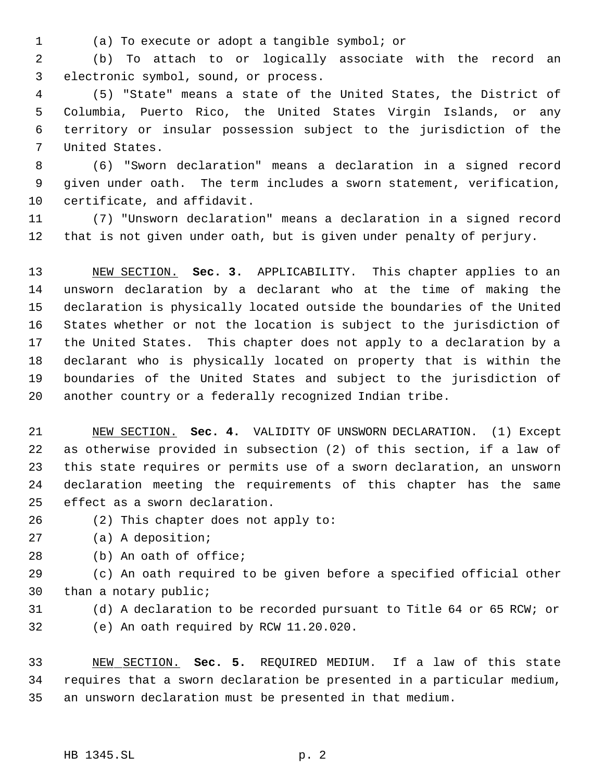(a) To execute or adopt a tangible symbol; or

 (b) To attach to or logically associate with the record an electronic symbol, sound, or process.

 (5) "State" means a state of the United States, the District of Columbia, Puerto Rico, the United States Virgin Islands, or any territory or insular possession subject to the jurisdiction of the United States.

 (6) "Sworn declaration" means a declaration in a signed record given under oath. The term includes a sworn statement, verification, certificate, and affidavit.

 (7) "Unsworn declaration" means a declaration in a signed record that is not given under oath, but is given under penalty of perjury.

 NEW SECTION. **Sec. 3.** APPLICABILITY. This chapter applies to an unsworn declaration by a declarant who at the time of making the declaration is physically located outside the boundaries of the United States whether or not the location is subject to the jurisdiction of the United States. This chapter does not apply to a declaration by a declarant who is physically located on property that is within the boundaries of the United States and subject to the jurisdiction of another country or a federally recognized Indian tribe.

 NEW SECTION. **Sec. 4.** VALIDITY OF UNSWORN DECLARATION. (1) Except as otherwise provided in subsection (2) of this section, if a law of this state requires or permits use of a sworn declaration, an unsworn declaration meeting the requirements of this chapter has the same effect as a sworn declaration.

- (2) This chapter does not apply to:
- (a) A deposition;
- (b) An oath of office;

 (c) An oath required to be given before a specified official other than a notary public;

 (d) A declaration to be recorded pursuant to Title 64 or 65 RCW; or (e) An oath required by RCW 11.20.020.

 NEW SECTION. **Sec. 5.** REQUIRED MEDIUM. If a law of this state requires that a sworn declaration be presented in a particular medium, an unsworn declaration must be presented in that medium.